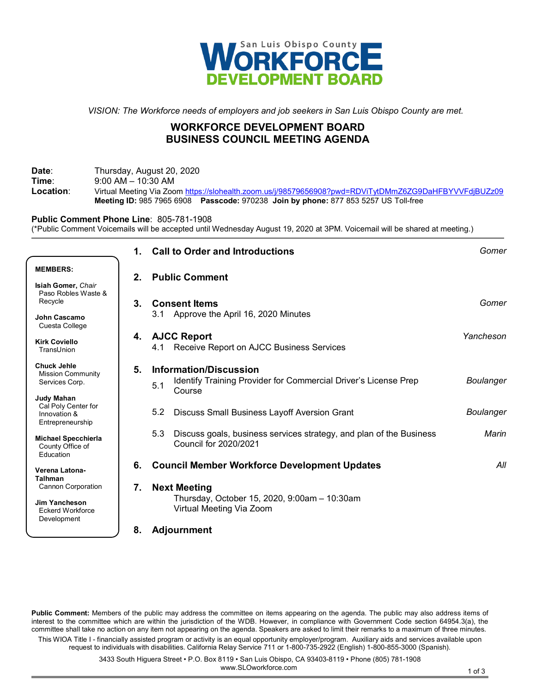

*VISION: The Workforce needs of employers and job seekers in San Luis Obispo County are met.*

# **WORKFORCE DEVELOPMENT BOARD BUSINESS COUNCIL MEETING AGENDA**

**Date**: Thursday, August 20, 2020 **Time:** 9:00 AM – 10:30 AM<br> **Location:** Virtual Meeting Via Zoc **Location**: Virtual Meeting Via Zoo[m https://slohealth.zoom.us/j/98579656908?pwd=RDViTytDMmZ6ZG9DaHFBYVVFdjBUZz09](https://slohealth.zoom.us/j/98579656908?pwd=RDViTytDMmZ6ZG9DaHFBYVVFdjBUZz09) **Meeting ID:** 985 7965 6908 **Passcode:** 970238 **Join by phone:** 877 853 5257 US Toll-free

**Public Comment Phone Line**: 805-781-1908 (\*Public Comment Voicemails will be accepted until Wednesday August 19, 2020 at 3PM. Voicemail will be shared at meeting.)

|                                                                              | 1. | <b>Call to Order and Introductions</b>                                                                     | Gomer            |
|------------------------------------------------------------------------------|----|------------------------------------------------------------------------------------------------------------|------------------|
| <b>MEMBERS:</b><br>Isiah Gomer, Chair                                        | 2. | <b>Public Comment</b>                                                                                      |                  |
| Paso Robles Waste &<br>Recycle                                               | 3. | <b>Consent Items</b>                                                                                       | Gomer            |
| John Cascamo<br>Cuesta College                                               |    | 3.1 Approve the April 16, 2020 Minutes                                                                     |                  |
| <b>Kirk Coviello</b><br>TransUnion                                           | 4. | <b>AJCC Report</b><br>4.1 Receive Report on AJCC Business Services                                         | Yancheson        |
| <b>Chuck Jehle</b><br><b>Mission Community</b><br>Services Corp.             | 5. | Information/Discussion<br>Identify Training Provider for Commercial Driver's License Prep<br>5.1<br>Course | <b>Boulanger</b> |
| <b>Judy Mahan</b><br>Cal Poly Center for<br>Innovation &<br>Entrepreneurship |    | 5.2<br>Discuss Small Business Layoff Aversion Grant                                                        | <b>Boulanger</b> |
| <b>Michael Specchierla</b><br>County Office of<br>Education                  |    | Discuss goals, business services strategy, and plan of the Business<br>5.3<br>Council for 2020/2021        | Marin            |
| Verena Latona-<br><b>Talhman</b>                                             | 6. | <b>Council Member Workforce Development Updates</b>                                                        | All              |
| <b>Cannon Corporation</b><br><b>Jim Yancheson</b><br><b>Eckerd Workforce</b> | 7. | <b>Next Meeting</b><br>Thursday, October 15, 2020, 9:00am - 10:30am<br>Virtual Meeting Via Zoom            |                  |
| Development                                                                  | 8. | <b>Adjournment</b>                                                                                         |                  |

**Public Comment:** Members of the public may address the committee on items appearing on the agenda. The public may also address items of interest to the committee which are within the jurisdiction of the WDB. However, in compliance with Government Code section 64954.3(a), the committee shall take no action on any item not appearing on the agenda. Speakers are asked to limit their remarks to a maximum of three minutes. This WIOA Title I - financially assisted program or activity is an equal opportunity employer/program. Auxiliary aids and services available upon request to individuals with disabilities. California Relay Service 711 or 1-800-735-2922 (English) 1-800-855-3000 (Spanish).

> 3433 South Higuera Street • P.O. Box 8119 • San Luis Obispo, CA 93403-8119 • Phone (805) 781-1908 www.SLOworkforce.com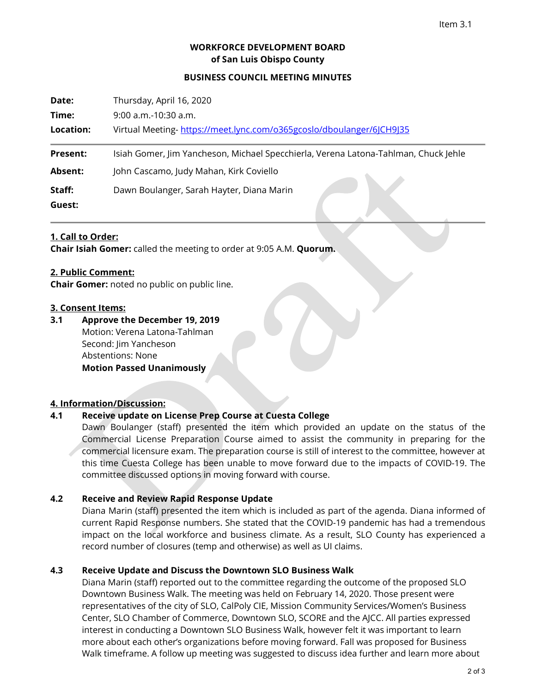# **WORKFORCE DEVELOPMENT BOARD of San Luis Obispo County**

#### **BUSINESS COUNCIL MEETING MINUTES**

| Date:           | Thursday, April 16, 2020                                                            |
|-----------------|-------------------------------------------------------------------------------------|
| Time:           | $9:00$ a.m.-10:30 a.m.                                                              |
| Location:       | Virtual Meeting-https://meet.lync.com/o365gcoslo/dboulanger/6JCH9J35                |
| <b>Present:</b> | Isiah Gomer, Jim Yancheson, Michael Specchierla, Verena Latona-Tahlman, Chuck Jehle |
| Absent:         | John Cascamo, Judy Mahan, Kirk Coviello                                             |
| Staff:          | Dawn Boulanger, Sarah Hayter, Diana Marin                                           |
| Guest:          |                                                                                     |

#### **1. Call to Order:**

**Chair Isiah Gomer:** called the meeting to order at 9:05 A.M. **Quorum.**

### **2. Public Comment:**

**Chair Gomer:** noted no public on public line.

#### **3. Consent Items:**

**3.1 Approve the December 19, 2019** Motion: Verena Latona-Tahlman Second: Iim Yancheson Abstentions: None **Motion Passed Unanimously**

# **4. Information/Discussion:**

# **4.1 Receive update on License Prep Course at Cuesta College**

Dawn Boulanger (staff) presented the item which provided an update on the status of the Commercial License Preparation Course aimed to assist the community in preparing for the commercial licensure exam. The preparation course is still of interest to the committee, however at this time Cuesta College has been unable to move forward due to the impacts of COVID-19. The committee discussed options in moving forward with course.

### **4.2 Receive and Review Rapid Response Update**

Diana Marin (staff) presented the item which is included as part of the agenda. Diana informed of current Rapid Response numbers. She stated that the COVID-19 pandemic has had a tremendous impact on the local workforce and business climate. As a result, SLO County has experienced a record number of closures (temp and otherwise) as well as UI claims.

### **4.3 Receive Update and Discuss the Downtown SLO Business Walk**

Diana Marin (staff) reported out to the committee regarding the outcome of the proposed SLO Downtown Business Walk. The meeting was held on February 14, 2020. Those present were representatives of the city of SLO, CalPoly CIE, Mission Community Services/Women's Business Center, SLO Chamber of Commerce, Downtown SLO, SCORE and the AJCC. All parties expressed interest in conducting a Downtown SLO Business Walk, however felt it was important to learn more about each other's organizations before moving forward. Fall was proposed for Business Walk timeframe. A follow up meeting was suggested to discuss idea further and learn more about